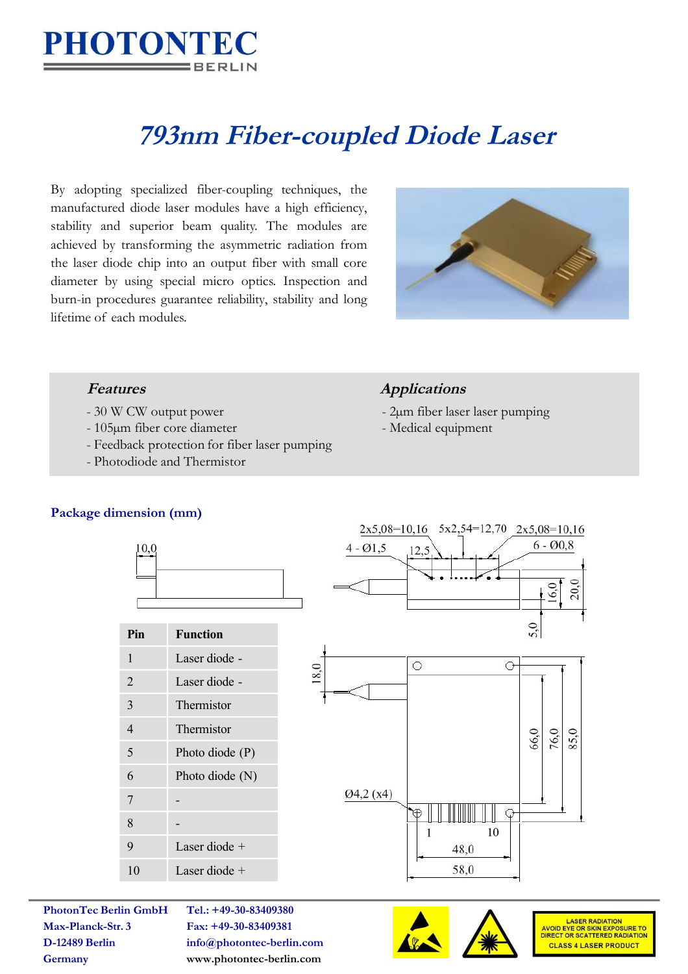

# **793nm Fiber-coupled Diode Laser**

By adopting specialized fiber-coupling techniques, the manufactured diode laser modules have a high efficiency, stability and superior beam quality. The modules are achieved by transforming the asymmetric radiation from the laser diode chip into an output fiber with small core diameter by using special micro optics. Inspection and burn-in procedures guarantee reliability, stability and long lifetime of each modules.



- 
- 105µm fiber core diameter Medical equipment
- Feedback protection for fiber laser pumping
- Photodiode and Thermistor

# **Features Applications**

- 30 W CW output power 2um fiber laser laser pumping
	-

### **Package dimension (mm)**



| Pin            | <b>Function</b>   |
|----------------|-------------------|
| $\mathbf{1}$   | Laser diode -     |
| $\overline{2}$ | Laser diode -     |
| $\overline{3}$ | Thermistor        |
| 4              | Thermistor        |
| 5              | Photo diode $(P)$ |
| 6              | Photo diode $(N)$ |
| 7              |                   |
| 8              |                   |
| 9              | Laser diode $+$   |
| 10             | Laser diode +     |



**Max-Planck-Str. 3 Fax: +49-30-83409381**

**PhotonTec Berlin GmbH Tel.: +49-30-83409380 D-12489 Berlin info@photontec-berlin.com Germany <www.photontec-berlin.com>**





LASER RADIATION<br>AVOID EYE OR SKIN EXPOSURE TO<br>DIRECT OR SCATTERED RADIATION **CLASS 4 LASER PRODUCT**